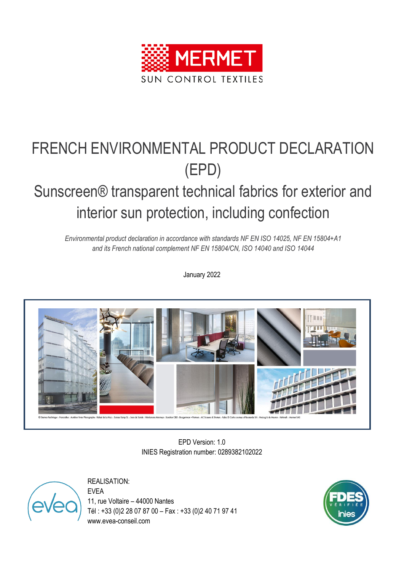

# FRENCH ENVIRONMENTAL PRODUCT DECLARATION (EPD)

# Sunscreen® transparent technical fabrics for exterior and interior sun protection, including confection

*Environmental product declaration in accordance with standards NF EN ISO 14025, NF EN 15804+A1 and its French national complement NF EN 15804/CN, ISO 14040 and ISO 14044*

January 2022



EPD Version: 1.0 INIES Registration number: 0289382102022

REALISATION:

EVEA 11, rue Voltaire – 44000 Nantes Tél : +33 (0)2 28 07 87 00 – Fax : +33 (0)2 40 71 97 41 www.evea-conseil.com

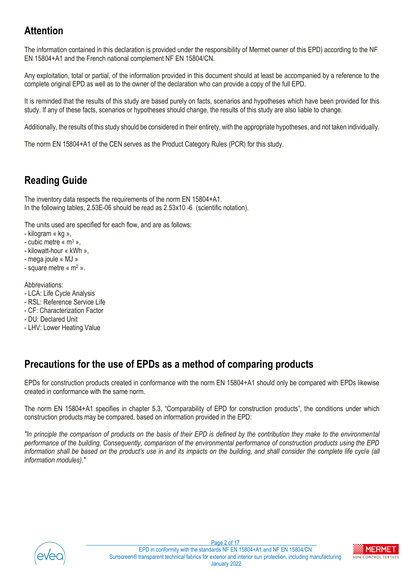## **Attention**

The information contained in this declaration is provided under the responsibility of Mermet owner of this EPD) according to the NF EN 15804+A1 and the French national complement NF EN 15804/CN.

Any exploitation, total or partial, of the information provided in this document should at least be accompanied by a reference to the complete original EPD as well as to the owner of the declaration who can provide a copy of the full EPD.

It is reminded that the results of this study are based purely on facts, scenarios and hypotheses which have been provided for this study. If any of these facts, scenarios or hypotheses should change, the results of this study are also liable to change.

Additionally, the results of this study should be considered in their entirety, with the appropriate hypotheses, and not taken individually.

The norm EN 15804+A1 of the CEN serves as the Product Category Rules (PCR) for this study.

# **Reading Guide**

The inventory data respects the requirements of the norm EN 15804+A1. In the following tables, 2.53E-06 should be read as 2.53x10 -6 (scientific notation).

The units used are specified for each flow, and are as follows:

- kilogram « kg »,
- cubic metre «  $m<sup>3</sup>$  ».
- kilowatt-hour « kWh »,
- mega joule « MJ »
- square metre « m<sup>2</sup> ».

Abbreviations:

- LCA: Life Cycle Analysis
- RSL: Reference Service Life
- CF: Characterization Factor
- DU: Declared Unit
- LHV: Lower Heating Value

### **Precautions for the use of EPDs as a method of comparing products**

EPDs for construction products created in conformance with the norm EN 15804+A1 should only be compared with EPDs likewise created in conformance with the same norm.

The norm EN 15804+A1 specifies in chapter 5.3, "Comparability of EPD for construction products", the conditions under which construction products may be compared, based on information provided in the EPD:

*"In principle the comparison of products on the basis of their EPD is defined by the contribution they make to the environmental performance of the building. Consequently, comparison of the environmental performance of construction products using the EPD information shall be based on the product's use in and its impacts on the building, and shall consider the complete life cycle (all information modules)."*



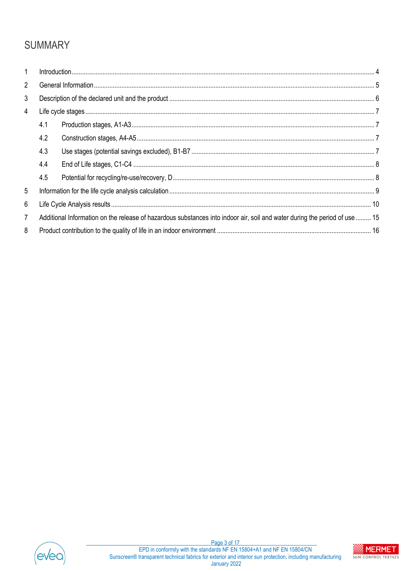# **SUMMARY**

| $\mathbf{1}$   |                                                                                                                            |  |  |  |  |  |  |  |  |
|----------------|----------------------------------------------------------------------------------------------------------------------------|--|--|--|--|--|--|--|--|
| $\overline{2}$ |                                                                                                                            |  |  |  |  |  |  |  |  |
| 3              |                                                                                                                            |  |  |  |  |  |  |  |  |
| 4              |                                                                                                                            |  |  |  |  |  |  |  |  |
|                | 4.1                                                                                                                        |  |  |  |  |  |  |  |  |
|                | 4.2                                                                                                                        |  |  |  |  |  |  |  |  |
|                | 4.3                                                                                                                        |  |  |  |  |  |  |  |  |
|                | 4.4                                                                                                                        |  |  |  |  |  |  |  |  |
|                | 4.5                                                                                                                        |  |  |  |  |  |  |  |  |
| 5              |                                                                                                                            |  |  |  |  |  |  |  |  |
| 6              |                                                                                                                            |  |  |  |  |  |  |  |  |
| $\overline{7}$ | Additional Information on the release of hazardous substances into indoor air, soil and water during the period of use  15 |  |  |  |  |  |  |  |  |
| 8              |                                                                                                                            |  |  |  |  |  |  |  |  |



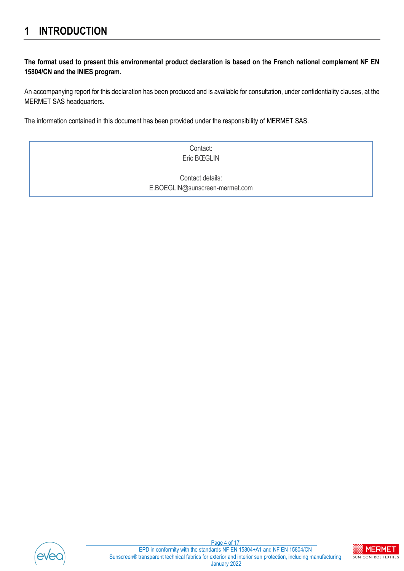### <span id="page-3-0"></span>**1 INTRODUCTION**

#### **The format used to present this environmental product declaration is based on the French national complement NF EN 15804/CN and the INIES program.**

An accompanying report for this declaration has been produced and is available for consultation, under confidentiality clauses, at the MERMET SAS headquarters.

The information contained in this document has been provided under the responsibility of MERMET SAS.

Contact: Eric BŒGLIN

Contact details: E.BOEGLIN@sunscreen-mermet.com



Page 4 of 17 EPD in conformity with the standards NF EN 15804+A1 and NF EN 15804/CN Sunscreen® transparent technical fabrics for exterior and interior sun protection, including manufacturing January 2022

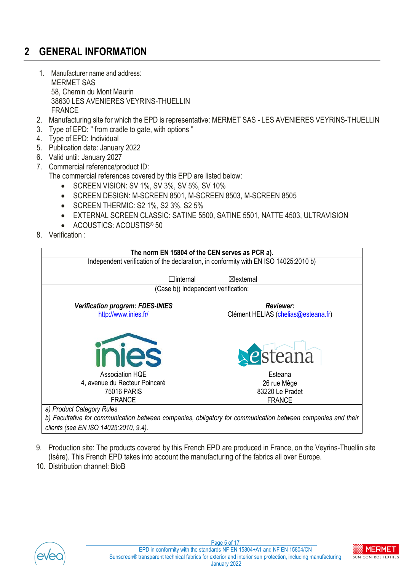# <span id="page-4-0"></span>**2 GENERAL INFORMATION**

- 1. Manufacturer name and address: MERMET SAS 58, Chemin du Mont Maurin 38630 LES AVENIERES VEYRINS-THUELLIN FRANCE
- 2. Manufacturing site for which the EPD is representative: MERMET SAS LES AVENIERES VEYRINS-THUELLIN
- 3. Type of EPD: " from cradle to gate, with options "
- 4. Type of EPD: Individual
- 5. Publication date: January 2022
- 6. Valid until: January 2027
- 7. Commercial reference/product ID:
	- The commercial references covered by this EPD are listed below:
		- SCREEN VISION: SV 1%, SV 3%, SV 5%, SV 10%
		- SCREEN DESIGN: M-SCREEN 8501, M-SCREEN 8503, M-SCREEN 8505
		- SCREEN THERMIC: S2 1%, S2 3%, S2 5%
		- EXTERNAL SCREEN CLASSIC: SATINE 5500, SATINE 5501, NATTE 4503, ULTRAVISION
		- ACOUSTICS: ACOUSTIS® 50
- 8. Verification :



- *clients (see EN ISO 14025:2010, 9.4).*
- 9. Production site: The products covered by this French EPD are produced in France, on the Veyrins-Thuellin site (Isère). This French EPD takes into account the manufacturing of the fabrics all over Europe.
- 10. Distribution channel: BtoB



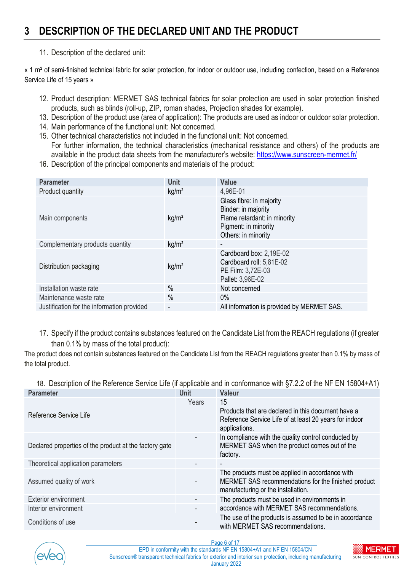### <span id="page-5-0"></span>**3 DESCRIPTION OF THE DECLARED UNIT AND THE PRODUCT**

#### 11. Description of the declared unit:

« 1 m² of semi-finished technical fabric for solar protection, for indoor or outdoor use, including confection, based on a Reference Service Life of 15 years »

- 12. Product description: MERMET SAS technical fabrics for solar protection are used in solar protection finished products, such as blinds (roll-up, ZIP, roman shades, Projection shades for example).
- 13. Description of the product use (area of application): The products are used as indoor or outdoor solar protection.
- 14. Main performance of the functional unit: Not concerned.
- 15. Other technical characteristics not included in the functional unit: Not concerned. For further information, the technical characteristics (mechanical resistance and others) of the products are available in the product data sheets from the manufacturer's website: <https://www.sunscreen-mermet.fr/>
- 16. Description of the principal components and materials of the product:

| <b>Parameter</b>                           | <b>Unit</b>       | <b>Value</b>                                                                                                                   |
|--------------------------------------------|-------------------|--------------------------------------------------------------------------------------------------------------------------------|
| Product quantity                           | kg/m <sup>2</sup> | 4,96E-01                                                                                                                       |
| Main components                            | kg/m <sup>2</sup> | Glass fibre: in majority<br>Binder: in majority<br>Flame retardant: in minority<br>Pigment: in minority<br>Others: in minority |
| Complementary products quantity            | kg/m <sup>2</sup> | ۰                                                                                                                              |
| Distribution packaging                     | kg/m <sup>2</sup> | Cardboard box: 2,19E-02<br>Cardboard roll: 5,81E-02<br>PE Film: 3,72E-03<br>Pallet: 3,96E-02                                   |
| Installation waste rate                    | $\%$              | Not concerned                                                                                                                  |
| Maintenance waste rate                     | $\frac{0}{0}$     | $0\%$                                                                                                                          |
| Justification for the information provided | ٠                 | All information is provided by MERMET SAS.                                                                                     |

17. Specify if the product contains substances featured on the Candidate List from the REACH regulations (if greater than 0.1% by mass of the total product):

The product does not contain substances featured on the Candidate List from the REACH regulations greater than 0.1% by mass of the total product.

18. Description of the Reference Service Life (if applicable and in conformance with §7.2.2 of the NF EN 15804+A1)

| <b>Parameter</b>                                       | <b>Unit</b> | <b>Valeur</b>                                                                                                                                |
|--------------------------------------------------------|-------------|----------------------------------------------------------------------------------------------------------------------------------------------|
| Reference Service Life                                 | Years       | 15<br>Products that are declared in this document have a<br>Reference Service Life of at least 20 years for indoor<br>applications.          |
| Declared properties of the product at the factory gate | ٠           | In compliance with the quality control conducted by<br>MERMET SAS when the product comes out of the<br>factory.                              |
| Theoretical application parameters                     |             | $\overline{\phantom{a}}$                                                                                                                     |
| Assumed quality of work                                |             | The products must be applied in accordance with<br>MERMET SAS recommendations for the finished product<br>manufacturing or the installation. |
| <b>Exterior environment</b>                            | ٠           | The products must be used in environments in                                                                                                 |
| Interior environment                                   | ٠           | accordance with MERMET SAS recommendations.                                                                                                  |
| Conditions of use                                      |             | The use of the products is assumed to be in accordance<br>with MERMET SAS recommendations.                                                   |



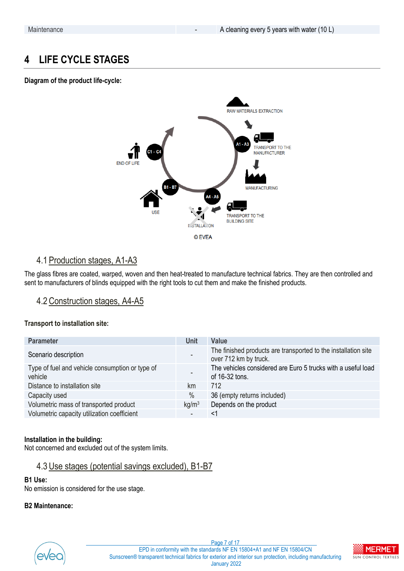### <span id="page-6-0"></span>**4 LIFE CYCLE STAGES**

#### **Diagram of the product life-cycle:**



### <span id="page-6-1"></span>4.1 Production stages, A1-A3

The glass fibres are coated, warped, woven and then heat-treated to manufacture technical fabrics. They are then controlled and sent to manufacturers of blinds equipped with the right tools to cut them and make the finished products.

### <span id="page-6-2"></span>4.2Construction stages, A4-A5

#### **Transport to installation site:**

| <b>Parameter</b>                                           | <b>Unit</b>       | <b>Value</b>                                                                            |
|------------------------------------------------------------|-------------------|-----------------------------------------------------------------------------------------|
| Scenario description                                       |                   | The finished products are transported to the installation site<br>over 712 km by truck. |
| Type of fuel and vehicle consumption or type of<br>vehicle |                   | The vehicles considered are Euro 5 trucks with a useful load<br>of 16-32 tons.          |
| Distance to installation site                              | km                | 712                                                                                     |
| Capacity used                                              | $\%$              | 36 (empty returns included)                                                             |
| Volumetric mass of transported product                     | kg/m <sup>3</sup> | Depends on the product                                                                  |
| Volumetric capacity utilization coefficient                |                   | <1                                                                                      |

#### **Installation in the building:**

Not concerned and excluded out of the system limits.

#### <span id="page-6-3"></span>4.3Use stages (potential savings excluded), B1-B7

#### **B1 Use:**

No emission is considered for the use stage.

#### **B2 Maintenance:**



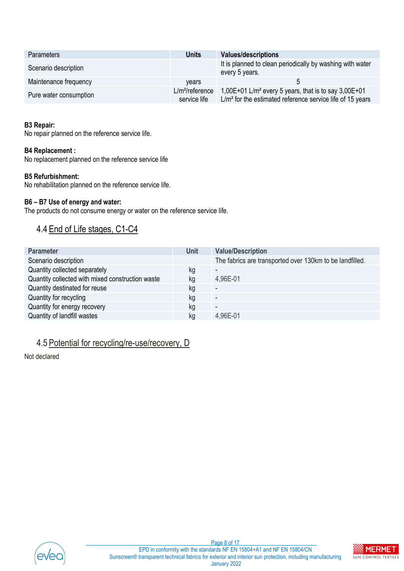| <b>Parameters</b>      | <b>Units</b>                       | <b>Values/descriptions</b>                                                                                                        |
|------------------------|------------------------------------|-----------------------------------------------------------------------------------------------------------------------------------|
| Scenario description   |                                    | It is planned to clean periodically by washing with water<br>every 5 years.                                                       |
| Maintenance frequency  | vears                              |                                                                                                                                   |
| Pure water consumption | $L/m^2$ /reference<br>service life | 1,00E+01 L/m <sup>2</sup> every 5 years, that is to say $3,00E+01$<br>$L/m2$ for the estimated reference service life of 15 years |

#### **B3 Repair:**

No repair planned on the reference service life.

#### **B4 Replacement :**

No replacement planned on the reference service life

#### **B5 Refurbishment:**

No rehabilitation planned on the reference service life.

#### **B6 – B7 Use of energy and water:**

The products do not consume energy or water on the reference service life.

### <span id="page-7-0"></span>4.4 End of Life stages, C1-C4

| <b>Parameter</b>                                 | <b>Unit</b> | <b>Value/Description</b>                                 |
|--------------------------------------------------|-------------|----------------------------------------------------------|
| Scenario description                             |             | The fabrics are transported over 130km to be landfilled. |
| Quantity collected separately                    | kg          | $\overline{\phantom{a}}$                                 |
| Quantity collected with mixed construction waste | kg          | 4,96E-01                                                 |
| Quantity destinated for reuse                    | kg          |                                                          |
| Quantity for recycling                           | kq          | ٠                                                        |
| Quantity for energy recovery                     | kg          | $\overline{\phantom{a}}$                                 |
| Quantity of landfill wastes                      | kq          | 4,96E-01                                                 |

### <span id="page-7-1"></span>4.5 Potential for recycling/re-use/recovery, D

Not declared



Page 8 of 17 EPD in conformity with the standards NF EN 15804+A1 and NF EN 15804/CN Sunscreen® transparent technical fabrics for exterior and interior sun protection, including manufacturing January 2022

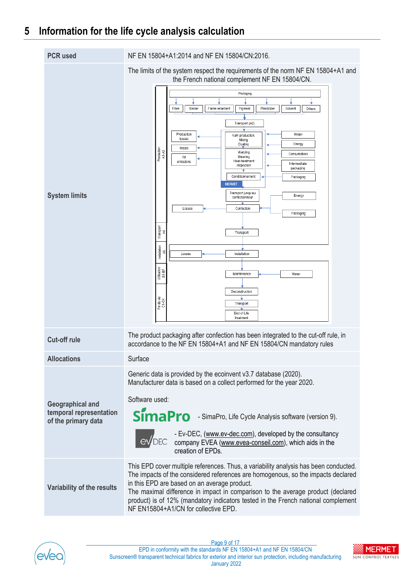### <span id="page-8-0"></span>**5 Information for the life cycle analysis calculation**

| <b>PCR</b> used                                                           | NF EN 15804+A1:2014 and NF EN 15804/CN:2016.                                                                                                                                                                                                                                                                                                                                                                                                                                                                                                                                                                                                                                                                                                                                                                                                             |
|---------------------------------------------------------------------------|----------------------------------------------------------------------------------------------------------------------------------------------------------------------------------------------------------------------------------------------------------------------------------------------------------------------------------------------------------------------------------------------------------------------------------------------------------------------------------------------------------------------------------------------------------------------------------------------------------------------------------------------------------------------------------------------------------------------------------------------------------------------------------------------------------------------------------------------------------|
| <b>System limits</b>                                                      | The limits of the system respect the requirements of the norm NF EN 15804+A1 and<br>the French national complement NF EN 15804/CN.<br>Packaging<br>Fibre<br>Binder<br>Flame retardent<br>Pigment<br>Plasticizer<br>Solvent<br>Others<br>Transport (A2)<br>Production<br>Water<br>Yarn production:<br>losses<br>Mixing<br>Coating<br>Energy<br>Waste<br>Production<br>A1-A3<br>Warping<br>Consumables<br>Weaving<br>Air<br>Heat-treatment<br>emissions<br>Intermediate<br>Inspection<br>packaging<br>Conditionnemen<br>Packaging<br><b>MERMET</b><br>Transport jusqu'au<br>Energy<br>confectionneur<br>Losses<br>Confection<br>Packaging<br>Transport<br>됳<br>Transport<br>Installation<br>45<br>Installation<br>Losses<br>Utilisation<br>18-18<br>Maintenance<br>Water<br>Deconstruction<br>Fin de vie<br>C1-C4<br>Transport<br>End of Life<br>treatment |
| <b>Cut-off rule</b>                                                       | The product packaging after confection has been integrated to the cut-off rule, in<br>accordance to the NF EN 15804+A1 and NF EN 15804/CN mandatory rules                                                                                                                                                                                                                                                                                                                                                                                                                                                                                                                                                                                                                                                                                                |
| <b>Allocations</b>                                                        | Surface                                                                                                                                                                                                                                                                                                                                                                                                                                                                                                                                                                                                                                                                                                                                                                                                                                                  |
| <b>Geographical and</b><br>temporal representation<br>of the primary data | Generic data is provided by the ecoinvent v3.7 database (2020).<br>Manufacturer data is based on a collect performed for the year 2020.<br>Software used:<br>SimaPro - SimaPro, Life Cycle Analysis software (version 9).<br>- Ev-DEC, (www.ev-dec.com), developed by the consultancy<br>EVDEC company EVEA (www.evea-conseil.com), which aids in the<br>creation of EPDs.                                                                                                                                                                                                                                                                                                                                                                                                                                                                               |
| Variability of the results                                                | This EPD cover multiple references. Thus, a variability analysis has been conducted.<br>The impacts of the considered references are homogenous, so the impacts declared<br>in this EPD are based on an average product.<br>The maximal difference in impact in comparison to the average product (declared<br>product) is of 12% (mandatory indicators tested in the French national complement<br>NF EN15804+A1/CN for collective EPD.                                                                                                                                                                                                                                                                                                                                                                                                                 |



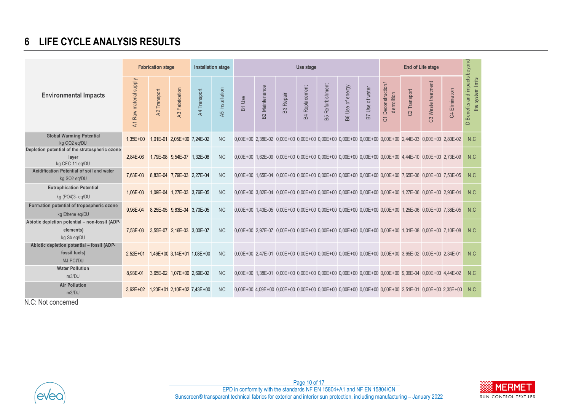### **6 LIFE CYCLE ANALYSIS RESULTS**

|                                                                                                   |                                             | <b>Fabrication stage</b> |                                    | Installation stage |                 | Use stage                        |                               |                  |                       |                     |                                                                                                            |                 |                                    |              | beyond             |                               |                                                     |
|---------------------------------------------------------------------------------------------------|---------------------------------------------|--------------------------|------------------------------------|--------------------|-----------------|----------------------------------|-------------------------------|------------------|-----------------------|---------------------|------------------------------------------------------------------------------------------------------------|-----------------|------------------------------------|--------------|--------------------|-------------------------------|-----------------------------------------------------|
| <b>Environmental Impacts</b>                                                                      | A1 Raw material supply                      | A2 Transport             | <b>43 Fabrication</b>              | A4 Transport       | A5 Installation | Use<br>$\overline{\mathsf{B}}$ 1 | Maintenance<br>B <sub>2</sub> | <b>B3</b> Repair | <b>B4 Replacement</b> | Refurbishment<br>B5 | of energy<br>Use<br>BG                                                                                     | B7 Use of water | Deconstruction/<br>demolition<br>5 | C2 Transport | C3 Waste treatment | Elimination<br>$\mathfrak{A}$ | Benefits and impacts<br>the system limits<br>$\Box$ |
| <b>Global Warming Potential</b><br>kg CO <sub>2</sub> eg/DU                                       | $1.35E + 00$                                |                          | 1,01E-01 2,05E+00 7,24E-02         |                    | <b>NC</b>       |                                  |                               |                  |                       |                     | 0.00E+00 2.38E-02 0.00E+00 0.00E+00 0.00E+00 0.00E+00 0.00E+00 0.00E+00 2.44E-03 0.00E+00 2.80E-02         |                 |                                    |              |                    |                               | N.C                                                 |
| Depletion potential of the stratospheric ozone<br>layer<br>kg CFC 11 eg/DU                        | 2,84E-06                                    |                          | 1,79E-08 9,54E-07 1,32E-08         |                    | <b>NC</b>       |                                  |                               |                  |                       |                     | 0,00E+00 1,62E-09 0,00E+00 0,00E+00 0,00E+00 0,00E+00 0,00E+00 0,00E+00 4,44E-10 0,00E+00 2,73E-09         |                 |                                    |              |                    |                               | N.C                                                 |
| Acidification Potential of soil and water<br>kg SO2 eq/DU                                         | 7,63E-03                                    |                          | 8,83E-04 7,79E-03 2,27E-04         |                    | <b>NC</b>       |                                  |                               |                  |                       |                     | 0,00E+00 1,65E-04 0,00E+00 0,00E+00 0,00E+00 0,00E+00 0,00E+00 0,00E+00 7,65E-06 0,00E+00 7,53E-05         |                 |                                    |              |                    |                               | N.C                                                 |
| <b>Eutrophication Potential</b><br>kg (PO4)3- eq/DU                                               | 1.06E-03                                    |                          | 1,09E-04 1,27E-03 3,76E-05         |                    | <b>NC</b>       |                                  |                               |                  |                       |                     | 0,00E+00 3,82E-04 0,00E+00 0,00E+00 0,00E+00 0,00E+00 0,00E+00 0,00E+00 1,27E-06 0,00E+00 2,93E-04         |                 |                                    |              |                    |                               | N.C                                                 |
| Formation potential of tropospheric ozone<br>kg Ethene eq/DU                                      | 9,96E-04                                    |                          | 8,25E-05 9,83E-04 3,70E-05         |                    | <b>NC</b>       |                                  |                               |                  |                       |                     | 0.00E+00 1.43E-05 0.00E+00 0.00E+00 0.00E+00 0.00E+00 0.00E+00 0.00E+00 1.25E-06 0.00E+00 7.38E-05         |                 |                                    |              |                    |                               | N.C                                                 |
| Abiotic depletion potential - non-fossil (ADP-<br>elements)<br>kg Sb eq/DU                        | 7.53E-03                                    |                          | 3,55E-07 2,16E-03 3,00E-07         |                    | <b>NC</b>       |                                  |                               |                  |                       |                     | 0.00E+00 2.97E-07 0.00E+00 0.00E+00 0.00E+00 0.00E+00 0.00E+00 0.00E+00 1.01E-08 0.00E+00 7.10E-08         |                 |                                    |              |                    |                               | N.C                                                 |
| Abiotic depletion potential - fossil (ADP-<br>fossil fuels)<br>MJ PCI/DU                          | $2.52E + 01$                                |                          | $1,46E+00$ 3, $14E+01$ 1, $08E+00$ |                    | <b>NC</b>       |                                  |                               |                  |                       |                     | 0,00E+00 2,47E-01 0,00E+00 0,00E+00 0,00E+00 0,00E+00 0,00E+00 0,00E+00 3,65E-02 0,00E+00 2,34E-01         |                 |                                    |              |                    |                               | N.C                                                 |
| <b>Water Pollution</b><br>m3/DU                                                                   | 8,93E-01                                    |                          | 3,65E-02 1,07E+00 2,69E-02         |                    | <b>NC</b>       |                                  |                               |                  |                       |                     | $0.00E + 00$ 1.38E-01 $0.00E + 00$ 0.00E+00 0.00E+00 0.00E+00 0.00E+00 0.00E+00 9.06E-04 0.00E+00 4.44E-02 |                 |                                    |              |                    |                               | N.C                                                 |
| <b>Air Pollution</b><br>m3/DU<br>$\mathbf{1}$ $\mathbf{2}$ $\mathbf{3}$ $\mathbf{1}$ $\mathbf{4}$ | $3,62E+02$ 1,20E + 01 2,10E + 02 7,43E + 00 |                          |                                    |                    | <b>NC</b>       |                                  |                               |                  |                       |                     | $0.00E + 00$ 4.09E+00 0.00E+00 0.00E+00 0.00E+00 0.00E+00 0.00E+00 0.00E+00 2.51E-01 0.00E+00 2.35E+00     |                 |                                    |              |                    |                               | N.C                                                 |

<span id="page-9-0"></span>N.C: Not concerned





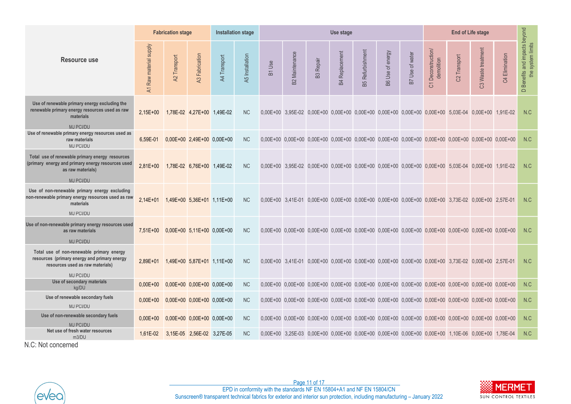|                                                                                                                                                                                                                                                                                                                                                                                                                                                   |                                        | <b>Fabrication stage</b><br><b>Installation stage</b> |                              |              |                 |               |                       |                          | Use stage             |                         |                  |                 |                                   |                                                                                                    |                    |                |                                                                            |
|---------------------------------------------------------------------------------------------------------------------------------------------------------------------------------------------------------------------------------------------------------------------------------------------------------------------------------------------------------------------------------------------------------------------------------------------------|----------------------------------------|-------------------------------------------------------|------------------------------|--------------|-----------------|---------------|-----------------------|--------------------------|-----------------------|-------------------------|------------------|-----------------|-----------------------------------|----------------------------------------------------------------------------------------------------|--------------------|----------------|----------------------------------------------------------------------------|
| <b>Resource use</b>                                                                                                                                                                                                                                                                                                                                                                                                                               | A1 Raw material supply                 | A2 Transport                                          | A3 Fabrication               | A4 Transport | A5 Installation | <b>B1</b> Use | <b>B2 Maintenance</b> | Repair<br>$\mathbbm{B}3$ | <b>B4 Replacement</b> | <b>B5 Refurbishment</b> | B6 Use of energy | B7 Use of water | Deconstruction<br>demolition<br>5 | C2 Transport                                                                                       | C3 Waste treatment | C4 Elimination | impacts beyond<br>D Benefits and impacts bo<br>the system limits<br>$\Box$ |
| Use of renewable primary energy excluding the<br>renewable primary energy resources used as raw<br>materials<br><b>MJ PCI/DU</b>                                                                                                                                                                                                                                                                                                                  | $2.15E+00$                             |                                                       | 1.78E-02 4.27E+00 1.49E-02   |              | <b>NC</b>       |               |                       |                          |                       |                         |                  |                 |                                   | 0,00E+00 3,95E-02 0,00E+00 0,00E+00 0,00E+00 0,00E+00 0,00E+00 0,00E+00 5,03E-04 0,00E+00 1,91E-02 |                    |                | N.C                                                                        |
| Use of renewable primary energy resources used as<br>raw materials<br>MJ PCI/DU                                                                                                                                                                                                                                                                                                                                                                   | 6,59E-01                               |                                                       | $0,00E+00$ 2,49E+00 0,00E+00 |              | <b>NC</b>       |               |                       |                          |                       |                         |                  |                 |                                   | 0,00E+00 0,00E+00 0,00E+00 0,00E+00 0,00E+00 0,00E+00 0,00E+00 0,00E+00 0,00E+00 0,00E+00 0,00E+00 |                    |                | N.C                                                                        |
| Total use of renewable primary energy resources<br>(primary energy and primary energy resources used<br>as raw materials)                                                                                                                                                                                                                                                                                                                         | $2.81E+00$                             |                                                       | 1,78E-02 6,76E+00 1,49E-02   |              | <b>NC</b>       |               |                       |                          |                       |                         |                  |                 |                                   | 0,00E+00 3,95E-02 0,00E+00 0,00E+00 0,00E+00 0,00E+00 0,00E+00 0,00E+00 5,03E-04 0,00E+00 1,91E-02 |                    |                | N.C                                                                        |
| MJ PCI/DU<br>Use of non-renewable primary energy excluding<br>non-renewable primary energy resources used as raw<br>materials<br>MJ PCI/DU                                                                                                                                                                                                                                                                                                        | $2.14E + 01$                           |                                                       | $1,49E+00$ 5,36E+01 1,11E+00 |              | <b>NC</b>       |               |                       |                          |                       |                         |                  |                 |                                   | 0.00E+00 3.41E-01 0.00E+00 0.00E+00 0.00E+00 0.00E+00 0.00E+00 0.00E+00 3.73E-02 0.00E+00 2.57E-01 |                    |                | N.C                                                                        |
| Use of non-renewable primary energy resources used<br>as raw materials<br><b>MJ PCI/DU</b>                                                                                                                                                                                                                                                                                                                                                        | 7,51E+00  0,00E+00  5,11E+00  0,00E+00 |                                                       |                              |              | <b>NC</b>       |               |                       |                          |                       |                         |                  |                 |                                   | 0,00E+00 0,00E+00 0,00E+00 0,00E+00 0,00E+00 0,00E+00 0,00E+00 0,00E+00 0,00E+00 0,00E+00 0,00E+00 |                    |                | N.C                                                                        |
| Total use of non-renewable primary energy<br>resources (primary energy and primary energy<br>resources used as raw materials)                                                                                                                                                                                                                                                                                                                     | $2.89E + 01$                           |                                                       | $1,49E+00$ 5,87E+01 1,11E+00 |              | <b>NC</b>       |               |                       |                          |                       |                         |                  |                 |                                   | 0,00E+00 3,41E-01 0,00E+00 0,00E+00 0,00E+00 0,00E+00 0,00E+00 0,00E+00 3,73E-02 0,00E+00 2,57E-01 |                    |                | N.C                                                                        |
| MJ PCI/DU<br>Use of secondary materials                                                                                                                                                                                                                                                                                                                                                                                                           | $0.00E + 00$                           |                                                       | $0.00E+00$ 0.00E+00 0.00E+00 |              | <b>NC</b>       |               |                       |                          |                       |                         |                  |                 |                                   | 0,00E+00 0,00E+00 0,00E+00 0,00E+00 0,00E+00 0,00E+00 0,00E+00 0,00E+00 0,00E+00 0,00E+00 0,00E+00 |                    |                | N.C                                                                        |
| kg/DU<br>Use of renewable secondary fuels                                                                                                                                                                                                                                                                                                                                                                                                         | $0.00E + 00$                           |                                                       | $0,00E+00$ 0,00E+00 0,00E+00 |              | <b>NC</b>       |               |                       |                          |                       |                         |                  |                 |                                   | 0,00E+00 0,00E+00 0,00E+00 0,00E+00 0,00E+00 0,00E+00 0,00E+00 0,00E+00 0,00E+00 0,00E+00 0,00E+00 |                    |                | N.C                                                                        |
| MJ PCI/DU<br>Use of non-renewable secondary fuels<br>MJ PCI/DU                                                                                                                                                                                                                                                                                                                                                                                    | $0.00E + 00$                           |                                                       | $0.00E+00$ 0.00E+00 0.00E+00 |              | <b>NC</b>       |               |                       |                          |                       |                         |                  |                 |                                   | 0,00E+00 0,00E+00 0,00E+00 0,00E+00 0,00E+00 0,00E+00 0,00E+00 0,00E+00 0,00E+00 0,00E+00 0,00E+00 |                    |                | N.C                                                                        |
| Net use of fresh water resources                                                                                                                                                                                                                                                                                                                                                                                                                  |                                        |                                                       |                              |              | <b>NC</b>       |               |                       |                          |                       |                         |                  |                 |                                   |                                                                                                    |                    |                | N.C                                                                        |
| 1,61E-02 3,15E-05 2,56E-02 3,27E-05<br>0,00E+00 3,25E-03 0,00E+00 0,00E+00 0,00E+00 0,00E+00 0,00E+00 0,00E+00 1,10E-06 0,00E+00 1,78E-04<br>m3/DU<br>N.C: Not concerned<br>Page 11 of 17<br>MERMET<br>EPD in conformity with the standards NF EN 15804+A1 and NF EN 15804/CN<br>evec<br>Sunscreen® transparent technical fabrics for exterior and interior sun protection, including manufacturing - January 2022<br><b>SUN CONTROL TEXTILES</b> |                                        |                                                       |                              |              |                 |               |                       |                          |                       |                         |                  |                 |                                   |                                                                                                    |                    |                |                                                                            |



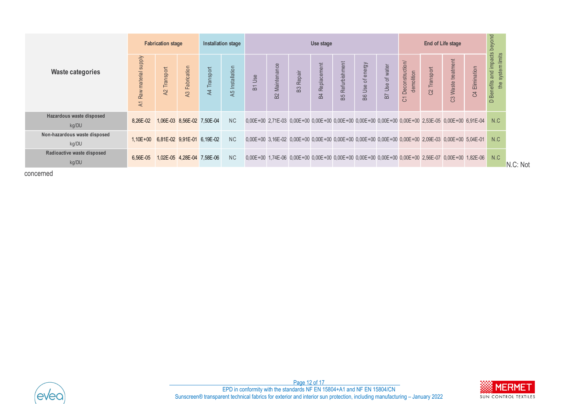|                                                                                                                                                                                                                                    | <b>Fabrication stage</b><br><b>Installation stage</b> |                            |                |              | Use stage       |        |                              |                  |                   |                         | End of Life stage |                 |                                  |              |                                                                                                    |                |                                                    |               |
|------------------------------------------------------------------------------------------------------------------------------------------------------------------------------------------------------------------------------------|-------------------------------------------------------|----------------------------|----------------|--------------|-----------------|--------|------------------------------|------------------|-------------------|-------------------------|-------------------|-----------------|----------------------------------|--------------|----------------------------------------------------------------------------------------------------|----------------|----------------------------------------------------|---------------|
| <b>Waste categories</b>                                                                                                                                                                                                            | A1 Raw material supply                                | A2 Transport               | A3 Fabrication | A4 Transport | A5 Installation | B1 Use | Maintenance<br>$\mathsf{B2}$ | <b>B3 Repair</b> | Replacement<br>B4 | <b>B5 Refurbishment</b> | B6 Use of energy  | B7 Use of water | C1 Deconstruction/<br>demolition | C2 Transport | C3 Waste treatment                                                                                 | C4 Elimination | D Benefits and impacts beyond<br>the system limits |               |
| Hazardous waste disposed<br>kg/DU                                                                                                                                                                                                  | 8,26E-02                                              | 1,06E-03 8,56E-02 7,50E-04 |                |              | ${\sf NC}$      |        |                              |                  |                   |                         |                   |                 |                                  |              | 0,00E+00 2,71E-03 0,00E+00 0,00E+00 0,00E+00 0,00E+00 0,00E+00 0,00E+00 2,53E-05 0,00E+00 6,91E-04 |                | N.C                                                |               |
| Non-hazardous waste disposed<br>kg/DU                                                                                                                                                                                              | 1,10E+00 6,81E-02 9,91E-01 6,19E-02                   |                            |                |              | $\rm NC$        |        |                              |                  |                   |                         |                   |                 |                                  |              | 0,00E+00 3,16E-02 0,00E+00 0,00E+00 0,00E+00 0,00E+00 0,00E+00 0,00E+00 2,09E-03 0,00E+00 5,04E-01 |                | N.C                                                |               |
| Radioactive waste disposed<br>kg/DU                                                                                                                                                                                                | 6,56E-05                                              | 1,02E-05 4,28E-04 7,58E-06 |                |              | <b>NC</b>       |        |                              |                  |                   |                         |                   |                 |                                  |              | 0,00E+00 1,74E-06 0,00E+00 0,00E+00 0,00E+00 0,00E+00 0,00E+00 0,00E+00 2,56E-07 0,00E+00 1,82E-06 |                | N.C                                                | N.C: Not      |
| concerned                                                                                                                                                                                                                          |                                                       |                            |                |              |                 |        |                              |                  |                   |                         |                   |                 |                                  |              |                                                                                                    |                |                                                    |               |
|                                                                                                                                                                                                                                    |                                                       |                            |                |              |                 |        |                              |                  |                   |                         |                   |                 |                                  |              |                                                                                                    |                |                                                    |               |
|                                                                                                                                                                                                                                    |                                                       |                            |                |              |                 |        |                              |                  |                   |                         |                   |                 |                                  |              |                                                                                                    |                |                                                    |               |
|                                                                                                                                                                                                                                    |                                                       |                            |                |              |                 |        |                              |                  |                   |                         |                   |                 |                                  |              |                                                                                                    |                |                                                    |               |
|                                                                                                                                                                                                                                    |                                                       |                            |                |              |                 |        |                              |                  |                   |                         |                   |                 |                                  |              |                                                                                                    |                |                                                    |               |
|                                                                                                                                                                                                                                    |                                                       |                            |                |              |                 |        |                              |                  |                   |                         |                   |                 |                                  |              |                                                                                                    |                |                                                    |               |
|                                                                                                                                                                                                                                    |                                                       |                            |                |              |                 |        |                              |                  |                   |                         |                   |                 |                                  |              |                                                                                                    |                |                                                    |               |
|                                                                                                                                                                                                                                    |                                                       |                            |                |              |                 |        |                              |                  |                   |                         |                   |                 |                                  |              |                                                                                                    |                |                                                    |               |
|                                                                                                                                                                                                                                    |                                                       |                            |                |              |                 |        |                              |                  |                   |                         |                   |                 |                                  |              |                                                                                                    |                |                                                    |               |
|                                                                                                                                                                                                                                    |                                                       |                            |                |              |                 |        |                              |                  |                   |                         |                   |                 |                                  |              |                                                                                                    |                |                                                    |               |
|                                                                                                                                                                                                                                    |                                                       |                            |                |              |                 |        |                              |                  |                   |                         |                   |                 |                                  |              |                                                                                                    |                |                                                    |               |
|                                                                                                                                                                                                                                    |                                                       |                            |                |              |                 |        |                              | Page 12 of 17    |                   |                         |                   |                 |                                  |              |                                                                                                    |                |                                                    | <b>MERMET</b> |
| EPD in conformity with the standards NF EN 15804+A1 and NF EN 15804/CN<br>evec<br>Sunscreen® transparent technical fabrics for exterior and interior sun protection, including manufacturing - January 2022<br>SUN CONTROL TEXTILE |                                                       |                            |                |              |                 |        |                              |                  |                   |                         |                   |                 |                                  |              |                                                                                                    |                |                                                    |               |



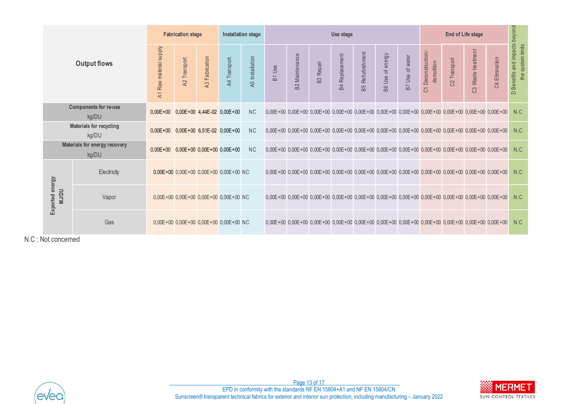|                 |                 |                                        |                                             | <b>Fabrication stage</b><br><b>Installation stage</b> |                                                |              |                                                                                                                                                                                                     |        | Use stage             |                  |                       |                         |                  |                 |                                  |              | <b>End of Life stage</b> |                                                                                                                                                |                                                    |  |  |  |
|-----------------|-----------------|----------------------------------------|---------------------------------------------|-------------------------------------------------------|------------------------------------------------|--------------|-----------------------------------------------------------------------------------------------------------------------------------------------------------------------------------------------------|--------|-----------------------|------------------|-----------------------|-------------------------|------------------|-----------------|----------------------------------|--------------|--------------------------|------------------------------------------------------------------------------------------------------------------------------------------------|----------------------------------------------------|--|--|--|
|                 |                 | <b>Output flows</b>                    | A1 Raw material supply                      | A2 Transport                                          | A3 Fabrication                                 | A4 Transport | A5 Installation                                                                                                                                                                                     | B1 Use | <b>B2</b> Maintenance | <b>B3</b> Repair | <b>B4</b> Replacement | <b>B5</b> Refurbishment | B6 Use of energy | B7 Use of water | C1 Deconstruction/<br>demolition | C2 Transport | C3 Waste treatment       | C4 Elimination                                                                                                                                 | D Benefits and impacts beyond<br>the system limits |  |  |  |
|                 |                 | Components for re-use<br>kg/DU         | $0,00E+00$ $0,00E+00$ $4,44E-02$ $0,00E+00$ |                                                       |                                                |              | <b>NC</b>                                                                                                                                                                                           |        |                       |                  |                       |                         |                  |                 |                                  |              |                          | $0,00E + 00$ $0,00E + 00$ $0,00E + 00$ $0,00E + 00$ $0,00E + 00$ $0,00E + 00$ $0,00E + 00$ $0,00E + 00$ $0,00E + 00$ $0,00E + 00$ $0,00E + 00$ | N.C                                                |  |  |  |
|                 |                 | Materials for recycling<br>kg/DU       | $0,00E+00$ $0,00E+00$ $6,51E-02$ $0,00E+00$ |                                                       |                                                |              | <b>NC</b>                                                                                                                                                                                           |        |                       |                  |                       |                         |                  |                 |                                  |              |                          | $0,00E + 00$ $0,00E + 00$ $0,00E + 00$ $0,00E + 00$ $0,00E + 00$ $0,00E + 00$ $0,00E + 00$ $0,00E + 00$ $0,00E + 00$ $0,00E + 00$ $0,00E + 00$ | N.C                                                |  |  |  |
|                 |                 | Materials for energy recovery<br>kg/DU | $0,00E+00$ 0,00E + 00 0,00E + 00 0,00E + 00 |                                                       |                                                |              | <b>NC</b>                                                                                                                                                                                           |        |                       |                  |                       |                         |                  |                 |                                  |              |                          | $0,00E+00$ $0,00E+00$ $0,00E+00$ $0,00E+00$ $0,00E+00$ $0,00E+00$ $0,00E+00$ $0,00E+00$ $0,00E+00$ $0,00E+00$ $0,00E+00$                       | N.C                                                |  |  |  |
|                 |                 | Electricity                            |                                             |                                                       | $0,00E+00$ 0,00E+00 0,00E+00 0,00E+00 NC       |              |                                                                                                                                                                                                     |        |                       |                  |                       |                         |                  |                 |                                  |              |                          | $0,00E + 00$ $0,00E + 00$ $0,00E + 00$ $0,00E + 00$ $0,00E + 00$ $0,00E + 00$ $0,00E + 00$ $0,00E + 00$ $0,00E + 00$ $0,00E + 00$ $0,00E + 00$ | N.C                                                |  |  |  |
| Exported energy | <b>NU/DU</b>    | Vapor                                  |                                             |                                                       | $0,00E+00$ $0,00E+00$ $0,00E+00$ $0,00E+00$ NC |              |                                                                                                                                                                                                     |        |                       |                  |                       |                         |                  |                 |                                  |              |                          | $0,00E + 00$ $0,00E + 00$ $0,00E + 00$ $0,00E + 00$ $0,00E + 00$ $0,00E + 00$ $0,00E + 00$ $0,00E + 00$ $0,00E + 00$ $0,00E + 00$ $0,00E + 00$ | N.C                                                |  |  |  |
|                 |                 | Gas                                    |                                             |                                                       | 0,00E+00 0,00E+00 0,00E+00 0,00E+00 NC         |              |                                                                                                                                                                                                     |        |                       |                  |                       |                         |                  |                 |                                  |              |                          | $0,00E + 00$ $0,00E + 00$ $0,00E + 00$ $0,00E + 00$ $0,00E + 00$ $0,00E + 00$ $0,00E + 00$ $0,00E + 00$ $0,00E + 00$ $0,00E + 00$ $0,00E + 00$ | N.C                                                |  |  |  |
|                 | : Not concerned |                                        |                                             |                                                       |                                                |              |                                                                                                                                                                                                     |        |                       |                  |                       |                         |                  |                 |                                  |              |                          |                                                                                                                                                |                                                    |  |  |  |
|                 |                 |                                        |                                             |                                                       |                                                |              |                                                                                                                                                                                                     |        |                       |                  |                       |                         |                  |                 |                                  |              |                          |                                                                                                                                                |                                                    |  |  |  |
|                 |                 |                                        |                                             |                                                       |                                                |              |                                                                                                                                                                                                     |        |                       |                  |                       |                         |                  |                 |                                  |              |                          |                                                                                                                                                |                                                    |  |  |  |
|                 |                 |                                        |                                             |                                                       |                                                |              |                                                                                                                                                                                                     |        |                       |                  |                       |                         |                  |                 |                                  |              |                          |                                                                                                                                                |                                                    |  |  |  |
|                 |                 |                                        |                                             |                                                       |                                                |              |                                                                                                                                                                                                     |        |                       |                  |                       |                         |                  |                 |                                  |              |                          |                                                                                                                                                |                                                    |  |  |  |
|                 |                 |                                        |                                             |                                                       |                                                |              |                                                                                                                                                                                                     |        |                       | Page 13 of 17    |                       |                         |                  |                 |                                  |              |                          |                                                                                                                                                | <b>MERME</b>                                       |  |  |  |
|                 |                 |                                        |                                             |                                                       |                                                |              | EPD in conformity with the standards NF EN 15804+A1 and NF EN 15804/CN<br>Sunscreen® transparent technical fabrics for exterior and interior sun protection, including manufacturing - January 2022 |        |                       |                  |                       |                         |                  |                 |                                  |              |                          | SUN CONTROL TEXTI                                                                                                                              |                                                    |  |  |  |

N.C : Not concerned



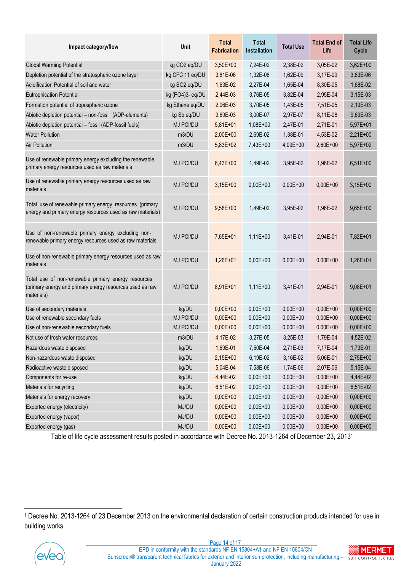| Impact category/flow                                                                                                          | Unit             | <b>Total</b><br><b>Fabrication</b> | <b>Total</b><br>Installation | <b>Total Use</b> | <b>Total End of</b><br>Life | <b>Total Life</b><br>Cycle |
|-------------------------------------------------------------------------------------------------------------------------------|------------------|------------------------------------|------------------------------|------------------|-----------------------------|----------------------------|
| <b>Global Warming Potential</b>                                                                                               | kg CO2 eq/DU     | 3,50E+00                           | 7,24E-02                     | 2,38E-02         | 3,05E-02                    | 3,62E+00                   |
| Depletion potential of the stratospheric ozone layer                                                                          | kg CFC 11 eq/DU  | 3,81E-06                           | 1,32E-08                     | 1,62E-09         | 3,17E-09                    | 3,83E-06                   |
| Acidification Potential of soil and water                                                                                     | kg SO2 eq/DU     | 1,63E-02                           | 2,27E-04                     | 1,65E-04         | 8,30E-05                    | 1,68E-02                   |
| <b>Eutrophication Potential</b>                                                                                               | kg (PO4)3- eq/DU | 2,44E-03                           | 3,76E-05                     | 3,82E-04         | 2,95E-04                    | 3,15E-03                   |
| Formation potential of tropospheric ozone                                                                                     | kg Ethene eq/DU  | 2,06E-03                           | 3,70E-05                     | 1,43E-05         | 7,51E-05                    | 2,19E-03                   |
| Abiotic depletion potential - non-fossil (ADP-elements)                                                                       | kg Sb eq/DU      | 9,69E-03                           | 3,00E-07                     | 2,97E-07         | 8,11E-08                    | 9,69E-03                   |
| Abiotic depletion potential - fossil (ADP-fossil fuels)                                                                       | MJ PCI/DU        | 5,81E+01                           | 1,08E+00                     | 2,47E-01         | 2,71E-01                    | 5,97E+01                   |
| <b>Water Pollution</b>                                                                                                        | m3/DU            | 2,00E+00                           | 2,69E-02                     | 1,38E-01         | 4,53E-02                    | 2,21E+00                   |
| <b>Air Pollution</b>                                                                                                          | m3/DU            | 5,83E+02                           | 7,43E+00                     | 4,09E+00         | 2,60E+00                    | 5,97E+02                   |
| Use of renewable primary energy excluding the renewable<br>primary energy resources used as raw materials                     | MJ PCI/DU        | $6,43E+00$                         | 1,49E-02                     | 3,95E-02         | 1,96E-02                    | $6,51E+00$                 |
| Use of renewable primary energy resources used as raw<br>materials                                                            | MJ PCI/DU        | $3,15E+00$                         | $0,00E+00$                   | $0,00E+00$       | $0,00E + 00$                | $3,15E+00$                 |
| Total use of renewable primary energy resources (primary<br>energy and primary energy resources used as raw materials)        | MJ PCI/DU        | 9,58E+00                           | 1,49E-02                     | 3,95E-02         | 1,96E-02                    | $9,65E+00$                 |
| Use of non-renewable primary energy excluding non-<br>renewable primary energy resources used as raw materials                | MJ PCI/DU        | 7,65E+01                           | $1,11E+00$                   | 3,41E-01         | 2,94E-01                    | 7,82E+01                   |
| Use of non-renewable primary energy resources used as raw<br>materials                                                        | MJ PCI/DU        | $1,26E+01$                         | $0.00E + 00$                 | $0,00E+00$       | $0,00E+00$                  | $1,26E+01$                 |
| Total use of non-renewable primary energy resources<br>(primary energy and primary energy resources used as raw<br>materials) | <b>MJ PCI/DU</b> | 8,91E+01                           | 1,11E+00                     | 3,41E-01         | 2,94E-01                    | 9,08E+01                   |
| Use of secondary materials                                                                                                    | kg/DU            | $0,00E + 00$                       | $0,00E+00$                   | $0,00E+00$       | $0,00E + 00$                | $0,00E+00$                 |
| Use of renewable secondary fuels                                                                                              | MJ PCI/DU        | $0,00E + 00$                       | $0,00E+00$                   | $0,00E+00$       | $0,00E + 00$                | $0,00E+00$                 |
| Use of non-renewable secondary fuels                                                                                          | MJ PCI/DU        | $0,00E+00$                         | $0,00E+00$                   | $0,00E + 00$     | $0,00E+00$                  | $0,00E+00$                 |
| Net use of fresh water resources                                                                                              | m3/DU            | 4,17E-02                           | 3,27E-05                     | 3,25E-03         | 1,79E-04                    | 4,52E-02                   |
| Hazardous waste disposed                                                                                                      | kg/DU            | 1,69E-01                           | 7,50E-04                     | 2,71E-03         | 7,17E-04                    | 1,73E-01                   |
| Non-hazardous waste disposed                                                                                                  | kg/DU            | 2,15E+00                           | 6,19E-02                     | 3,16E-02         | 5,06E-01                    | 2,75E+00                   |
| Radioactive waste disposed                                                                                                    | kg/DU            | 5,04E-04                           | 7,58E-06                     | 1,74E-06         | 2,07E-06                    | 5,15E-04                   |
| Components for re-use                                                                                                         | kg/DU            | 4,44E-02                           | $0,00E + 00$                 | $0,00E+00$       | $0,00E + 00$                | 4,44E-02                   |
| Materials for recycling                                                                                                       | kg/DU            | 6,51E-02                           | $0,00E + 00$                 | $0,00E+00$       | $0,00E + 00$                | 6,51E-02                   |
| Materials for energy recovery                                                                                                 | kg/DU            | $0,00E+00$                         | $0,00E + 00$                 | $0,00E+00$       | $0,00E + 00$                | $0,00E+00$                 |
| Exported energy (electricity)                                                                                                 | MJ/DU            | $0,00E + 00$                       | $0,00E+00$                   | $0,00E + 00$     | $0,00E + 00$                | $0,00E + 00$               |
| Exported energy (vapor)                                                                                                       | MJ/DU            | $0,00E + 00$                       | $0,00E + 00$                 | $0,00E+00$       | $0,00E + 00$                | $0,00E+00$                 |
| Exported energy (gas)                                                                                                         | MJ/DU            | $0,00E + 00$                       | $0,00E + 00$                 | $0,00E + 00$     | $0,00E + 00$                | $0,00E + 00$               |

Table of life cycle assessment results posted in accordance with Decree No. 2013-1264 of December 23, 2013<sup>1</sup>

<sup>1</sup> Decree No. 2013-1264 of 23 December 2013 on the environmental declaration of certain construction products intended for use in building works



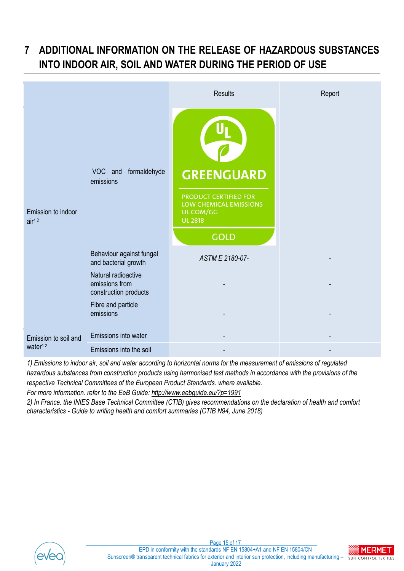## <span id="page-14-0"></span>**7 ADDITIONAL INFORMATION ON THE RELEASE OF HAZARDOUS SUBSTANCES INTO INDOOR AIR, SOIL AND WATER DURING THE PERIOD OF USE**

|                                             |                                                                | <b>Results</b>                                                                                                     | Report                   |
|---------------------------------------------|----------------------------------------------------------------|--------------------------------------------------------------------------------------------------------------------|--------------------------|
| Emission to indoor<br>air <sup>12</sup>     | VOC and formaldehyde<br>emissions                              | <b>GREENGUARD</b><br>PRODUCT CERTIFIED FOR<br>LOW CHEMICAL EMISSIONS<br>UL.COM/GG<br><b>UL 2818</b><br><b>GOLD</b> |                          |
|                                             | Behaviour against fungal<br>and bacterial growth               | ASTM E 2180-07-                                                                                                    | $\overline{\phantom{a}}$ |
|                                             | Natural radioactive<br>emissions from<br>construction products |                                                                                                                    |                          |
|                                             | Fibre and particle<br>emissions                                |                                                                                                                    |                          |
| Emission to soil and<br>water <sup>12</sup> | Emissions into water                                           |                                                                                                                    |                          |
|                                             | Emissions into the soil                                        |                                                                                                                    |                          |

*1) Emissions to indoor air, soil and water according to horizontal norms for the measurement of emissions of regulated hazardous substances from construction products using harmonised test methods in accordance with the provisions of the respective Technical Committees of the European Product Standards. where available.*

*For more information. refer to the EeB Guide:<http://www.eebguide.eu/?p=1991>*

*2) In France. the INIES Base Technical Committee (CTIB) gives recommendations on the declaration of health and comfort characteristics - Guide to writing health and comfort summaries (CTIB N94, June 2018)*



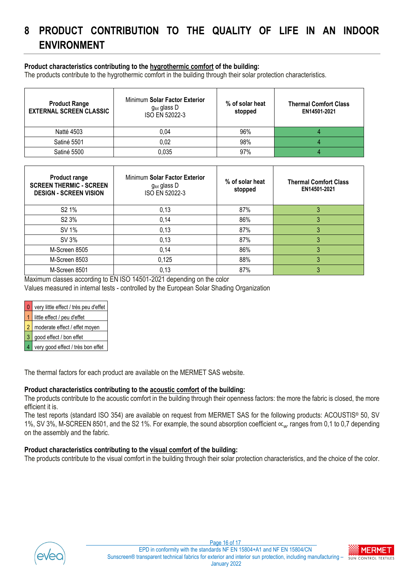### <span id="page-15-0"></span>**8 PRODUCT CONTRIBUTION TO THE QUALITY OF LIFE IN AN INDOOR ENVIRONMENT**

#### **Product characteristics contributing to the hygrothermic comfort of the building:**

The products contribute to the hygrothermic comfort in the building through their solar protection characteristics.

| <b>Product Range</b><br><b>EXTERNAL SCREEN CLASSIC</b> | Minimum Solar Factor Exterior<br>gtot glass D<br>ISO EN 52022-3 | % of solar heat<br>stopped | <b>Thermal Comfort Class</b><br>EN14501-2021 |
|--------------------------------------------------------|-----------------------------------------------------------------|----------------------------|----------------------------------------------|
| Natté 4503                                             | 0,04                                                            | 96%                        |                                              |
| Satiné 5501                                            | 0.02                                                            | 98%                        |                                              |
| Satiné 5500                                            | 0.035                                                           | 97%                        |                                              |

| <b>Product range</b><br><b>SCREEN THERMIC - SCREEN</b><br><b>DESIGN - SCREEN VISION</b> | Minimum Solar Factor Exterior<br>$g_{\text{tot}}$ glass D<br>ISO EN 52022-3 | % of solar heat<br>stopped | <b>Thermal Comfort Class</b><br>EN14501-2021 |
|-----------------------------------------------------------------------------------------|-----------------------------------------------------------------------------|----------------------------|----------------------------------------------|
| S <sub>2</sub> 1%                                                                       | 0,13                                                                        | 87%                        |                                              |
| S <sub>2</sub> 3%                                                                       | 0,14                                                                        | 86%                        |                                              |
| SV 1%                                                                                   | 0,13                                                                        | 87%                        |                                              |
| SV 3%                                                                                   | 0,13                                                                        | 87%                        |                                              |
| M-Screen 8505                                                                           | 0,14                                                                        | 86%                        |                                              |
| M-Screen 8503                                                                           | 0,125                                                                       | 88%                        |                                              |
| M-Screen 8501                                                                           | 0,13                                                                        | 87%                        |                                              |

Maximum classes according to EN ISO 14501-2021 depending on the color

Values measured in internal tests - controlled by the European Solar Shading Organization

| 0 very little effect / très peu d'effet |  |
|-----------------------------------------|--|
|                                         |  |

little effect / peu d'effet

moderate effect / effet moyen

3 good effect / bon effet

very good effect / très bon effet

The thermal factors for each product are available on the MERMET SAS website.

#### **Product characteristics contributing to the acoustic comfort of the building:**

The products contribute to the acoustic comfort in the building through their openness factors: the more the fabric is closed, the more efficient it is.

The test reports (standard ISO 354) are available on request from MERMET SAS for the following products: ACOUSTIS® 50, SV 1%, SV 3%, M-SCREEN 8501, and the S2 1%. For example, the sound absorption coefficient  $\alpha_w$  ranges from 0,1 to 0,7 depending on the assembly and the fabric.

#### **Product characteristics contributing to the visual comfort of the building:**

The products contribute to the visual comfort in the building through their solar protection characteristics, and the choice of the color.